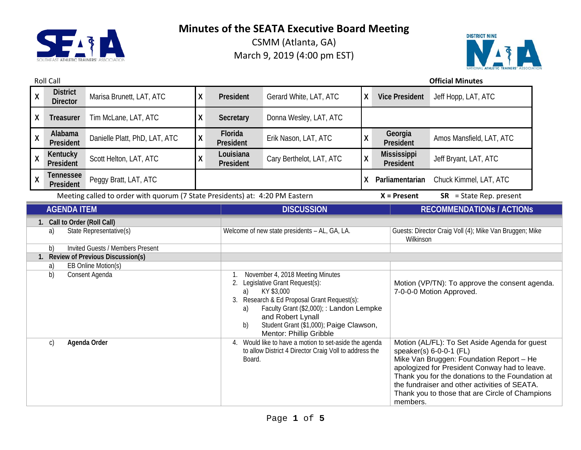

CSMM (Atlanta, GA) March 9, 2019 (4:00 pm EST)



## Roll Call **Official Minutes**

| $\boldsymbol{X}$                                                                                                                                                                                           | <b>District</b><br><b>Director</b> | Marisa Brunett, LAT, ATC                                                     | χ                    | President                                                                                                                                                                                                                   | Gerard White, LAT, ATC   | X  | <b>Vice President</b>                                                                                                                                                                                             | Jeff Hopp, LAT, ATC              |  |
|------------------------------------------------------------------------------------------------------------------------------------------------------------------------------------------------------------|------------------------------------|------------------------------------------------------------------------------|----------------------|-----------------------------------------------------------------------------------------------------------------------------------------------------------------------------------------------------------------------------|--------------------------|----|-------------------------------------------------------------------------------------------------------------------------------------------------------------------------------------------------------------------|----------------------------------|--|
| X                                                                                                                                                                                                          | Treasurer                          | Tim McLane, LAT, ATC                                                         | Χ                    | Secretary                                                                                                                                                                                                                   | Donna Wesley, LAT, ATC   |    |                                                                                                                                                                                                                   |                                  |  |
| $\pmb{\mathsf{X}}$                                                                                                                                                                                         | Alabama<br>President               | Danielle Platt, PhD, LAT, ATC                                                | Χ                    | Florida<br>President                                                                                                                                                                                                        | Erik Nason, LAT, ATC     | Χ  | Georgia<br>President                                                                                                                                                                                              | Amos Mansfield, LAT, ATC         |  |
| $\mathsf{X}$                                                                                                                                                                                               | Kentucky<br>President              | Scott Helton, LAT, ATC                                                       | X                    | Louisiana<br>President                                                                                                                                                                                                      | Cary Berthelot, LAT, ATC | X  | <b>Mississippi</b><br>President                                                                                                                                                                                   | Jeff Bryant, LAT, ATC            |  |
| $\boldsymbol{X}$                                                                                                                                                                                           | <b>Tennessee</b><br>President      | Peggy Bratt, LAT, ATC                                                        |                      |                                                                                                                                                                                                                             |                          | X. | Parliamentarian                                                                                                                                                                                                   | Chuck Kimmel, LAT, ATC           |  |
|                                                                                                                                                                                                            |                                    | Meeting called to order with quorum (7 State Presidents) at: 4:20 PM Eastern |                      |                                                                                                                                                                                                                             |                          |    | $X =$ Present                                                                                                                                                                                                     | $SR = State Rep. present$        |  |
|                                                                                                                                                                                                            | <b>AGENDA ITEM</b>                 |                                                                              |                      |                                                                                                                                                                                                                             | <b>DISCUSSION</b>        |    |                                                                                                                                                                                                                   | <b>RECOMMENDATIONS / ACTIONS</b> |  |
| 1. Call to Order (Roll Call)<br>State Representative(s)<br>a)<br><b>Invited Guests / Members Present</b><br>b)<br>1. Review of Previous Discussion(s)<br>EB Online Motion(s)<br>a)<br>b)<br>Consent Agenda |                                    |                                                                              | 1.<br>2.<br>a)<br>a) | Welcome of new state presidents - AL, GA, LA.<br>November 4, 2018 Meeting Minutes<br>Legislative Grant Request(s):<br>KY \$3,000<br>3. Research & Ed Proposal Grant Request(s):<br>Faculty Grant (\$2,000); : Landon Lempke |                          |    | Guests: Director Craig Voll (4); Mike Van Bruggen; Mike<br>Wilkinson<br>Motion (VP/TN): To approve the consent agenda.<br>7-0-0-0 Motion Approved.                                                                |                                  |  |
| Agenda Order<br>$\mathsf{C}$                                                                                                                                                                               |                                    |                                                                              | b)<br>4.             | and Robert Lynall<br>Student Grant (\$1,000); Paige Clawson,<br>Mentor: Phillip Gribble<br>Would like to have a motion to set-aside the agenda<br>to allow District 4 Director Craig Voll to address the<br>Board.          |                          |    | Motion (AL/FL): To Set Aside Agenda for guest<br>speaker(s) 6-0-0-1 (FL)<br>Mike Van Bruggen: Foundation Report - He                                                                                              |                                  |  |
|                                                                                                                                                                                                            |                                    |                                                                              |                      |                                                                                                                                                                                                                             |                          |    | apologized for President Conway had to leave.<br>Thank you for the donations to the Foundation at<br>the fundraiser and other activities of SEATA.<br>Thank you to those that are Circle of Champions<br>members. |                                  |  |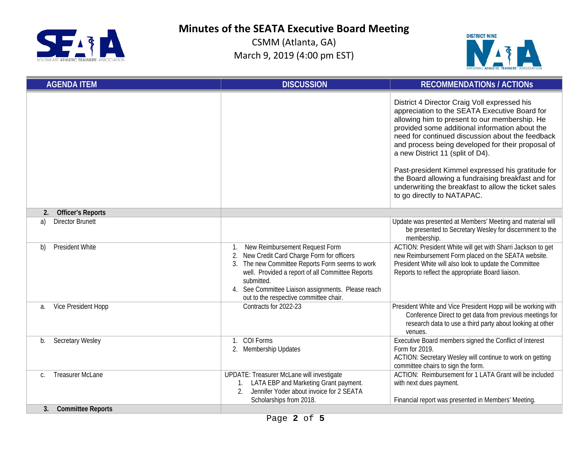

CSMM (Atlanta, GA) March 9, 2019 (4:00 pm EST)



| <b>AGENDA ITEM</b>             | <b>DISCUSSION</b>                                                                                                                                                                                                                                                                                                 | <b>RECOMMENDATIONS / ACTIONS</b>                                                                                                                                                                                                                                                                                                                                                                                                                                                                                                               |
|--------------------------------|-------------------------------------------------------------------------------------------------------------------------------------------------------------------------------------------------------------------------------------------------------------------------------------------------------------------|------------------------------------------------------------------------------------------------------------------------------------------------------------------------------------------------------------------------------------------------------------------------------------------------------------------------------------------------------------------------------------------------------------------------------------------------------------------------------------------------------------------------------------------------|
|                                |                                                                                                                                                                                                                                                                                                                   | District 4 Director Craig Voll expressed his<br>appreciation to the SEATA Executive Board for<br>allowing him to present to our membership. He<br>provided some additional information about the<br>need for continued discussion about the feedback<br>and process being developed for their proposal of<br>a new District 11 (split of D4).<br>Past-president Kimmel expressed his gratitude for<br>the Board allowing a fundraising breakfast and for<br>underwriting the breakfast to allow the ticket sales<br>to go directly to NATAPAC. |
| <b>Officer's Reports</b><br>2. |                                                                                                                                                                                                                                                                                                                   |                                                                                                                                                                                                                                                                                                                                                                                                                                                                                                                                                |
| <b>Director Brunett</b><br>a)  |                                                                                                                                                                                                                                                                                                                   | Update was presented at Members' Meeting and material will<br>be presented to Secretary Wesley for discernment to the<br>membership.                                                                                                                                                                                                                                                                                                                                                                                                           |
| <b>President White</b><br>b)   | New Reimbursement Request Form<br>$1_{\cdot}$<br>2. New Credit Card Charge Form for officers<br>3. The new Committee Reports Form seems to work<br>well. Provided a report of all Committee Reports<br>submitted.<br>4. See Committee Liaison assignments. Please reach<br>out to the respective committee chair. | ACTION: President White will get with Sharri Jackson to get<br>new Reimbursement Form placed on the SEATA website.<br>President White will also look to update the Committee<br>Reports to reflect the appropriate Board liaison.                                                                                                                                                                                                                                                                                                              |
| Vice President Hopp<br>a.      | Contracts for 2022-23                                                                                                                                                                                                                                                                                             | President White and Vice President Hopp will be working with<br>Conference Direct to get data from previous meetings for<br>research data to use a third party about looking at other<br>venues.                                                                                                                                                                                                                                                                                                                                               |
| Secretary Wesley<br>b.         | 1. COI Forms<br>2. Membership Updates                                                                                                                                                                                                                                                                             | Executive Board members signed the Conflict of Interest<br>Form for 2019.<br>ACTION: Secretary Wesley will continue to work on getting<br>committee chairs to sign the form.                                                                                                                                                                                                                                                                                                                                                                   |
| <b>Treasurer McLane</b><br>C.  | <b>UPDATE: Treasurer McLane will investigate</b><br>LATA EBP and Marketing Grant payment.<br>$\mathfrak{D}$<br>Jennifer Yoder about invoice for 2 SEATA<br>Scholarships from 2018.                                                                                                                                | ACTION: Reimbursement for 1 LATA Grant will be included<br>with next dues payment.<br>Financial report was presented in Members' Meeting.                                                                                                                                                                                                                                                                                                                                                                                                      |
| <b>Committee Reports</b><br>3. |                                                                                                                                                                                                                                                                                                                   |                                                                                                                                                                                                                                                                                                                                                                                                                                                                                                                                                |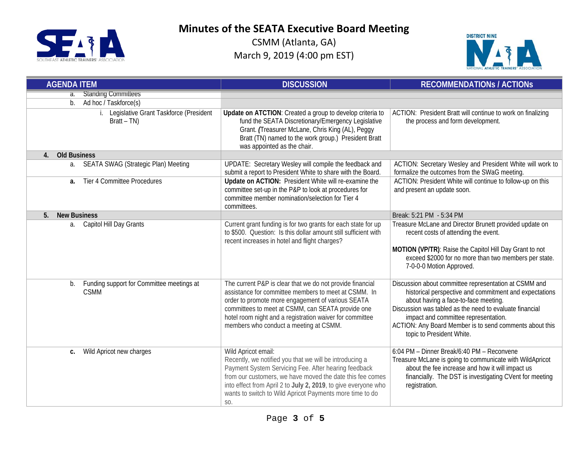

CSMM (Atlanta, GA) March 9, 2019 (4:00 pm EST)



| <b>AGENDA ITEM</b>                                             | <b>DISCUSSION</b>                                                                                                                                                                                                                                                                                                                        | <b>RECOMMENDATIONS / ACTIONS</b>                                                                                                                                                                                                                                                                                                                   |  |
|----------------------------------------------------------------|------------------------------------------------------------------------------------------------------------------------------------------------------------------------------------------------------------------------------------------------------------------------------------------------------------------------------------------|----------------------------------------------------------------------------------------------------------------------------------------------------------------------------------------------------------------------------------------------------------------------------------------------------------------------------------------------------|--|
| a. Standing Committees                                         |                                                                                                                                                                                                                                                                                                                                          |                                                                                                                                                                                                                                                                                                                                                    |  |
| Ad hoc / Taskforce(s)<br>$b$ .                                 |                                                                                                                                                                                                                                                                                                                                          |                                                                                                                                                                                                                                                                                                                                                    |  |
| Legislative Grant Taskforce (President<br>i.<br>$Bratt - TN)$  | Update on ATCTION: Created a group to develop criteria to<br>fund the SEATA Discretionary/Emergency Legislative<br>Grant. (Treasurer McLane, Chris King (AL), Peggy<br>Bratt (TN) named to the work group.) President Bratt<br>was appointed as the chair.                                                                               | ACTION: President Bratt will continue to work on finalizing<br>the process and form development.                                                                                                                                                                                                                                                   |  |
| <b>Old Business</b><br>$\overline{4}$ .                        |                                                                                                                                                                                                                                                                                                                                          |                                                                                                                                                                                                                                                                                                                                                    |  |
| <b>SEATA SWAG (Strategic Plan) Meeting</b><br>a.               | UPDATE: Secretary Wesley will compile the feedback and<br>submit a report to President White to share with the Board.                                                                                                                                                                                                                    | ACTION: Secretary Wesley and President White will work to<br>formalize the outcomes from the SWaG meeting.                                                                                                                                                                                                                                         |  |
| Tier 4 Committee Procedures<br>a.                              | Update on ACTION: President White will re-examine the<br>committee set-up in the P&P to look at procedures for<br>committee member nomination/selection for Tier 4<br>committees.                                                                                                                                                        | ACTION: President White will continue to follow-up on this<br>and present an update soon.                                                                                                                                                                                                                                                          |  |
| <b>New Business</b><br>5.                                      |                                                                                                                                                                                                                                                                                                                                          | Break: 5:21 PM - 5:34 PM                                                                                                                                                                                                                                                                                                                           |  |
| a. Capitol Hill Day Grants                                     | Current grant funding is for two grants for each state for up<br>to \$500. Question: Is this dollar amount still sufficient with<br>recent increases in hotel and flight charges?                                                                                                                                                        | Treasure McLane and Director Brunett provided update on<br>recent costs of attending the event.<br>MOTION (VP/TR): Raise the Capitol Hill Day Grant to not<br>exceed \$2000 for no more than two members per state.<br>7-0-0-0 Motion Approved.                                                                                                    |  |
| Funding support for Committee meetings at<br>b.<br><b>CSMM</b> | The current P&P is clear that we do not provide financial<br>assistance for committee members to meet at CSMM. In<br>order to promote more engagement of various SEATA<br>committees to meet at CSMM, can SEATA provide one<br>hotel room night and a registration waiver for committee<br>members who conduct a meeting at CSMM.        | Discussion about committee representation at CSMM and<br>historical perspective and commitment and expectations<br>about having a face-to-face meeting.<br>Discussion was tabled as the need to evaluate financial<br>impact and committee representation.<br>ACTION: Any Board Member is to send comments about this<br>topic to President White. |  |
| Wild Apricot new charges<br>C.                                 | Wild Apricot email:<br>Recently, we notified you that we will be introducing a<br>Payment System Servicing Fee. After hearing feedback<br>from our customers, we have moved the date this fee comes<br>into effect from April 2 to July 2, 2019, to give everyone who<br>wants to switch to Wild Apricot Payments more time to do<br>SO. | 6:04 PM - Dinner Break/6:40 PM - Reconvene<br>Treasure McLane is going to communicate with WildApricot<br>about the fee increase and how it will impact us<br>financially. The DST is investigating CVent for meeting<br>registration.                                                                                                             |  |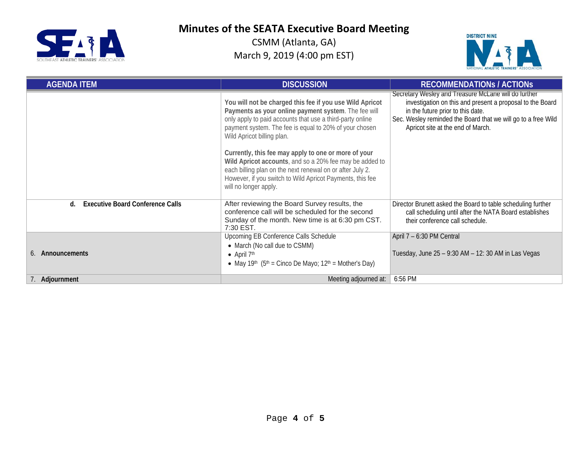

CSMM (Atlanta, GA) March 9, 2019 (4:00 pm EST)



| <b>AGENDA ITEM</b>                            | <b>DISCUSSION</b>                                                                                                                                                                                                                                                     | <b>RECOMMENDATIONS / ACTIONS</b>                                                                                                                                                                                                                             |
|-----------------------------------------------|-----------------------------------------------------------------------------------------------------------------------------------------------------------------------------------------------------------------------------------------------------------------------|--------------------------------------------------------------------------------------------------------------------------------------------------------------------------------------------------------------------------------------------------------------|
|                                               | You will not be charged this fee if you use Wild Apricot<br>Payments as your online payment system. The fee will<br>only apply to paid accounts that use a third-party online<br>payment system. The fee is equal to 20% of your chosen<br>Wild Apricot billing plan. | Secretary Wesley and Treasure McLane will do further<br>investigation on this and present a proposal to the Board<br>in the future prior to this date.<br>Sec. Wesley reminded the Board that we will go to a free Wild<br>Apricot site at the end of March. |
|                                               | Currently, this fee may apply to one or more of your<br>Wild Apricot accounts, and so a 20% fee may be added to<br>each billing plan on the next renewal on or after July 2.<br>However, if you switch to Wild Apricot Payments, this fee<br>will no longer apply.    |                                                                                                                                                                                                                                                              |
| <b>Executive Board Conference Calls</b><br>d. | After reviewing the Board Survey results, the<br>conference call will be scheduled for the second<br>Sunday of the month. New time is at 6:30 pm CST.<br>7:30 EST.                                                                                                    | Director Brunett asked the Board to table scheduling further<br>call scheduling until after the NATA Board establishes<br>their conference call schedule.                                                                                                    |
| Announcements<br>6.                           | Upcoming EB Conference Calls Schedule<br>• March (No call due to CSMM)<br>• April $7th$<br>• May 19 <sup>th</sup> $(5th = Cinco De Mayo; 12th = Mother's Day)$                                                                                                        | April 7 - 6:30 PM Central<br>Tuesday, June 25 - 9:30 AM - 12: 30 AM in Las Vegas                                                                                                                                                                             |
| 7. Adjournment                                | Meeting adjourned at:                                                                                                                                                                                                                                                 | 6:56 PM                                                                                                                                                                                                                                                      |